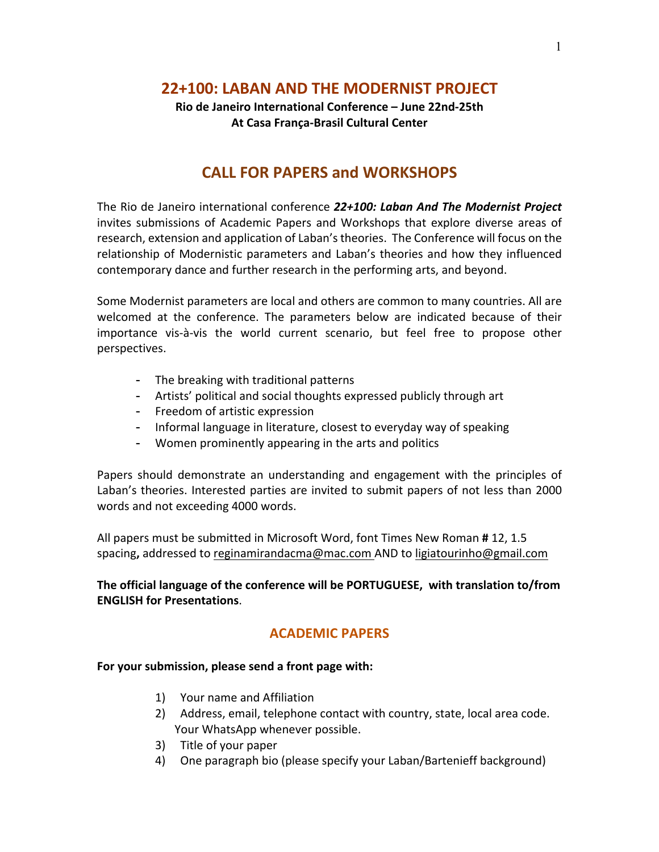## **22+100: LABAN AND THE MODERNIST PROJECT**

### **Rio de Janeiro International Conference – June 22nd-25th At Casa França-Brasil Cultural Center**

# **CALL FOR PAPERS and WORKSHOPS**

The Rio de Janeiro international conference *22+100: Laban And The Modernist Project* invites submissions of Academic Papers and Workshops that explore diverse areas of research, extension and application of Laban's theories. The Conference will focus on the relationship of Modernistic parameters and Laban's theories and how they influenced contemporary dance and further research in the performing arts, and beyond.

Some Modernist parameters are local and others are common to many countries. All are welcomed at the conference. The parameters below are indicated because of their importance vis-à-vis the world current scenario, but feel free to propose other perspectives.

- The breaking with traditional patterns
- Artists' political and social thoughts expressed publicly through art
- Freedom of artistic expression
- Informal language in literature, closest to everyday way of speaking
- Women prominently appearing in the arts and politics

Papers should demonstrate an understanding and engagement with the principles of Laban's theories. Interested parties are invited to submit papers of not less than 2000 words and not exceeding 4000 words.

All papers must be submitted in Microsoft Word, font Times New Roman **#** 12, 1.5 spacing**,** addressed to reginamirandacma@mac.com AND to ligiatourinho@gmail.com

**The official language of the conference will be PORTUGUESE, with translation to/from ENGLISH for Presentations**.

## **ACADEMIC PAPERS**

#### **For your submission, please send a front page with:**

- 1) Your name and Affiliation
- 2) Address, email, telephone contact with country, state, local area code. Your WhatsApp whenever possible.
- 3) Title of your paper
- 4) One paragraph bio (please specify your Laban/Bartenieff background)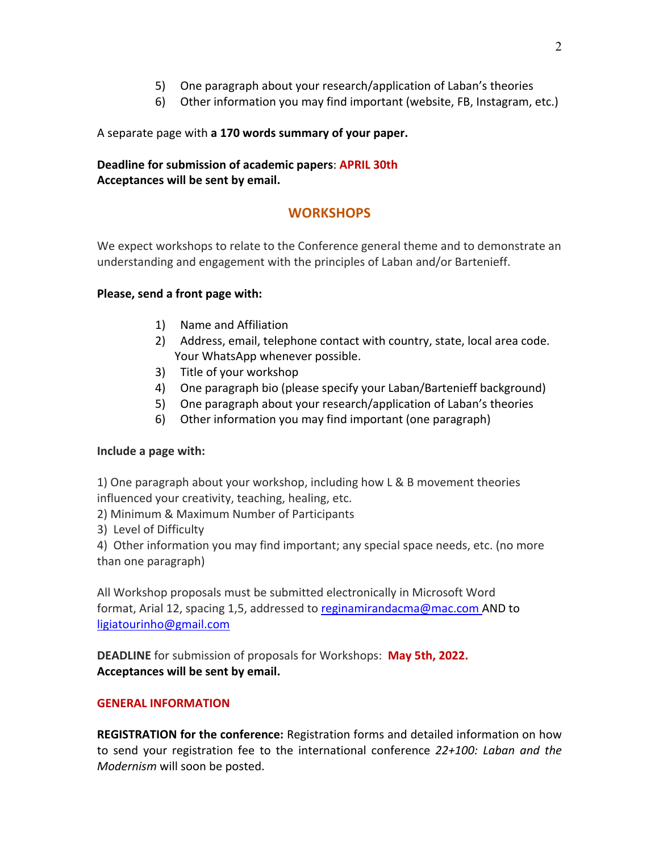- 5) One paragraph about your research/application of Laban's theories
- 6) Other information you may find important (website, FB, Instagram, etc.)

#### A separate page with **a 170 words summary of your paper.**

#### **Deadline for submission of academic papers**: **APRIL 30th Acceptances will be sent by email.**

## **WORKSHOPS**

We expect workshops to relate to the Conference general theme and to demonstrate an understanding and engagement with the principles of Laban and/or Bartenieff.

#### **Please, send a front page with:**

- 1) Name and Affiliation
- 2) Address, email, telephone contact with country, state, local area code. Your WhatsApp whenever possible.
- 3) Title of your workshop
- 4) One paragraph bio (please specify your Laban/Bartenieff background)
- 5) One paragraph about your research/application of Laban's theories
- 6) Other information you may find important (one paragraph)

#### **Include a page with:**

1) One paragraph about your workshop, including how L & B movement theories influenced your creativity, teaching, healing, etc.

- 2) Minimum & Maximum Number of Participants
- 3) Level of Difficulty

4) Other information you may find important; any special space needs, etc. (no more than one paragraph)

All Workshop proposals must be submitted electronically in Microsoft Word format, Arial 12, spacing 1,5, addressed to reginamirandacma@mac.com AND to ligiatourinho@gmail.com

**DEADLINE** for submission of proposals for Workshops: **May 5th, 2022. Acceptances will be sent by email.**

#### **GENERAL INFORMATION**

**REGISTRATION for the conference:** Registration forms and detailed information on how to send your registration fee to the international conference *22+100: Laban and the Modernism* will soon be posted.